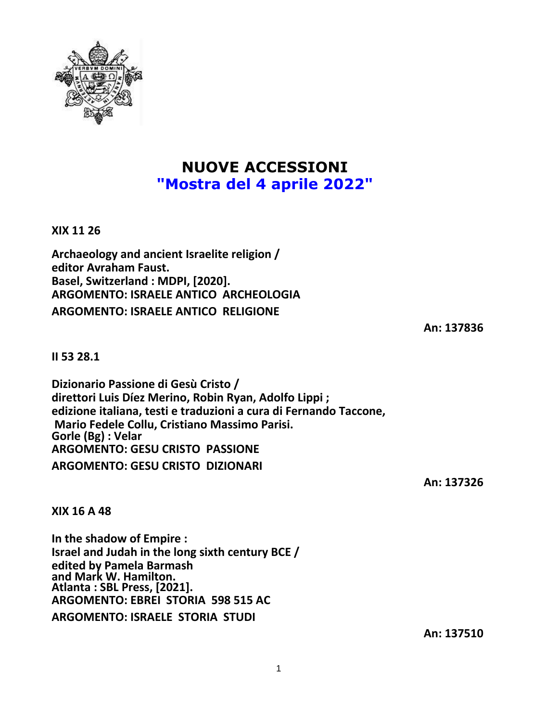

## **NUOVE ACCESSIONI "Mostra del 4 aprile 2022"**

**XIX 11 26**

**Archaeology and ancient Israelite religion / editor Avraham Faust. Basel, Switzerland : MDPI, [2020]. ARGOMENTO: ISRAELE ANTICO ARCHEOLOGIA ARGOMENTO: ISRAELE ANTICO RELIGIONE**

**An: 137836**

**II 53 28.1**

**Dizionario Passione di Gesù Cristo / direttori Luis Díez Merino, Robin Ryan, Adolfo Lippi ; edizione italiana, testi e traduzioni a cura di Fernando Taccone, Mario Fedele Collu, Cristiano Massimo Parisi. Gorle (Bg) : Velar ARGOMENTO: GESU CRISTO PASSIONE ARGOMENTO: GESU CRISTO DIZIONARI**

**An: 137326**

**XIX 16 A 48**

**In the shadow of Empire : Israel and Judah in the long sixth century BCE / edited by Pamela Barmash and Mark W. Hamilton. Atlanta : SBL Press, [2021]. ARGOMENTO: EBREI STORIA 598 515 AC ARGOMENTO: ISRAELE STORIA STUDI**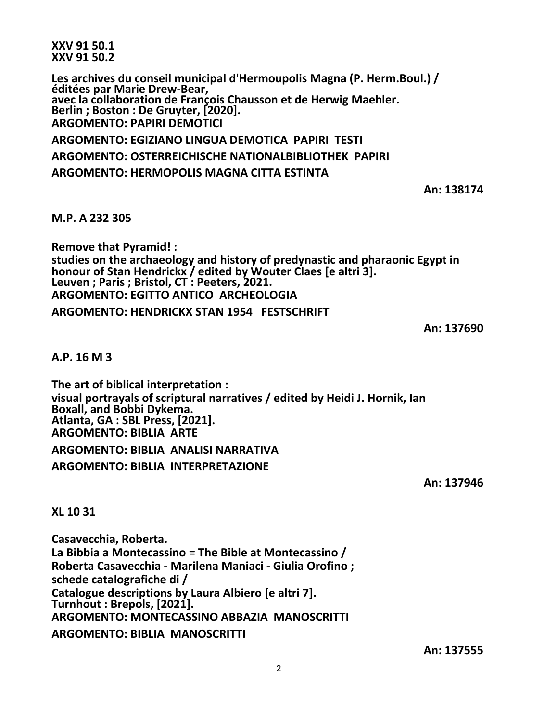**XXV 91 50.1 XXV 91 50.2**

**Les archives du conseil municipal d'Hermoupolis Magna (P. Herm.Boul.) / éditées par Marie Drew-Bear, avec la collaboration de François Chausson et de Herwig Maehler. Berlin ; Boston : De Gruyter, [2020]. ARGOMENTO: PAPIRI DEMOTICI**

**ARGOMENTO: EGIZIANO LINGUA DEMOTICA PAPIRI TESTI ARGOMENTO: OSTERREICHISCHE NATIONALBIBLIOTHEK PAPIRI ARGOMENTO: HERMOPOLIS MAGNA CITTA ESTINTA**

**An: 138174**

**M.P. A 232 305**

**Remove that Pyramid! : studies on the archaeology and history of predynastic and pharaonic Egypt in honour of Stan Hendrickx / edited by Wouter Claes [e altri 3]. Leuven ; Paris ; Bristol, CT : Peeters, 2021. ARGOMENTO: EGITTO ANTICO ARCHEOLOGIA ARGOMENTO: HENDRICKX STAN 1954 FESTSCHRIFT**

**An: 137690**

**A.P. 16 M 3**

**The art of biblical interpretation : visual portrayals of scriptural narratives / edited by Heidi J. Hornik, Ian Boxall, and Bobbi Dykema. Atlanta, GA : SBL Press, [2021]. ARGOMENTO: BIBLIA ARTE**

**ARGOMENTO: BIBLIA ANALISI NARRATIVA ARGOMENTO: BIBLIA INTERPRETAZIONE**

**An: 137946**

**XL 10 31**

**Casavecchia, Roberta. La Bibbia a Montecassino = The Bible at Montecassino / Roberta Casavecchia - Marilena Maniaci - Giulia Orofino ; schede catalografiche di / Catalogue descriptions by Laura Albiero [e altri 7]. Turnhout : Brepols, [2021]. ARGOMENTO: MONTECASSINO ABBAZIA MANOSCRITTI ARGOMENTO: BIBLIA MANOSCRITTI**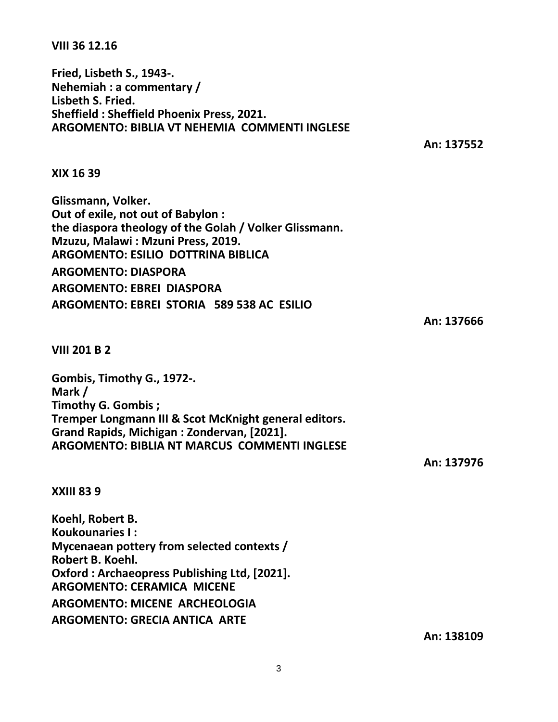3

**VIII 36 12.16**

**Fried, Lisbeth S., 1943-. Nehemiah : a commentary / Lisbeth S. Fried. Sheffield : Sheffield Phoenix Press, 2021. ARGOMENTO: BIBLIA VT NEHEMIA COMMENTI INGLESE**

**An: 137552**

**XIX 16 39**

**Glissmann, Volker. Out of exile, not out of Babylon : the diaspora theology of the Golah / Volker Glissmann. Mzuzu, Malawi : Mzuni Press, 2019. ARGOMENTO: ESILIO DOTTRINA BIBLICA ARGOMENTO: DIASPORA ARGOMENTO: EBREI DIASPORA ARGOMENTO: EBREI STORIA 589 538 AC ESILIO**

## **VIII 201 B 2**

**Gombis, Timothy G., 1972-. Mark / Timothy G. Gombis ; Tremper Longmann III & Scot McKnight general editors. Grand Rapids, Michigan : Zondervan, [2021]. ARGOMENTO: BIBLIA NT MARCUS COMMENTI INGLESE**

**An: 137976**

## **XXIII 83 9**

**Koehl, Robert B. Koukounaries I : Mycenaean pottery from selected contexts / Robert B. Koehl. Oxford : Archaeopress Publishing Ltd, [2021]. ARGOMENTO: CERAMICA MICENE ARGOMENTO: MICENE ARCHEOLOGIA ARGOMENTO: GRECIA ANTICA ARTE**

**An: 138109**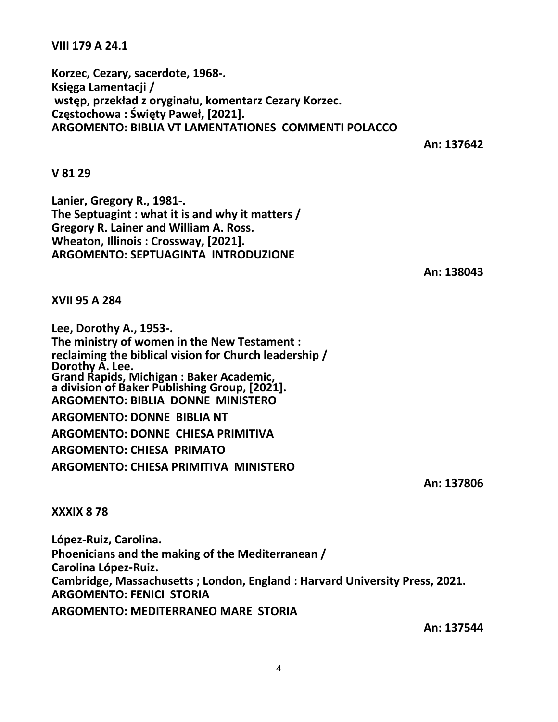**VIII 179 A 24.1**

**Korzec, Cezary, sacerdote, 1968-. Księga Lamentacji / wstęp, przekład z oryginału, komentarz Cezary Korzec. Częstochowa : Święty Paweł, [2021]. ARGOMENTO: BIBLIA VT LAMENTATIONES COMMENTI POLACCO**

**An: 137642**

**V 81 29**

**Lanier, Gregory R., 1981-. The Septuagint : what it is and why it matters / Gregory R. Lainer and William A. Ross. Wheaton, Illinois : Crossway, [2021]. ARGOMENTO: SEPTUAGINTA INTRODUZIONE**

**An: 138043**

**XVII 95 A 284**

**Lee, Dorothy A., 1953-. The ministry of women in the New Testament : reclaiming the biblical vision for Church leadership / Dorothy A. Lee. Grand Rapids, Michigan : Baker Academic, a division of Baker Publishing Group, [2021]. ARGOMENTO: BIBLIA DONNE MINISTERO ARGOMENTO: DONNE BIBLIA NT ARGOMENTO: DONNE CHIESA PRIMITIVA ARGOMENTO: CHIESA PRIMATO ARGOMENTO: CHIESA PRIMITIVA MINISTERO**

**An: 137806**

**XXXIX 8 78**

**López-Ruiz, Carolina. Phoenicians and the making of the Mediterranean / Carolina López-Ruiz. Cambridge, Massachusetts ; London, England : Harvard University Press, 2021. ARGOMENTO: FENICI STORIA ARGOMENTO: MEDITERRANEO MARE STORIA**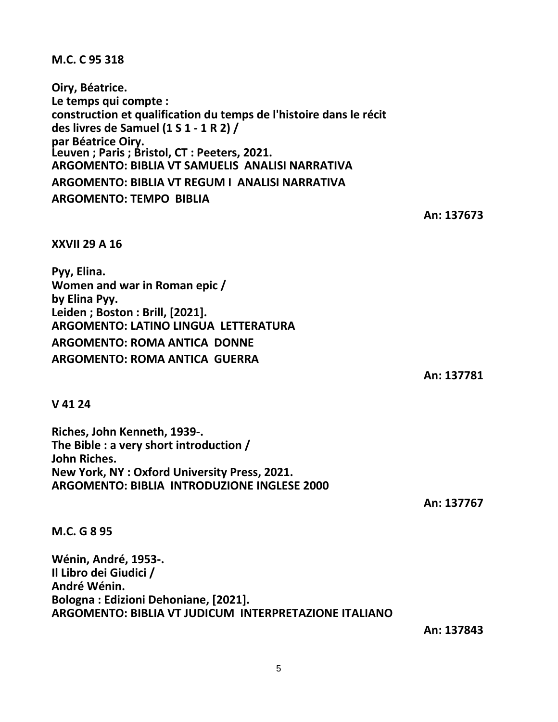5

**M.C. C 95 318**

**XXVII 29 A 16**

**Women and war in Roman epic /**

**ARGOMENTO: LATINO LINGUA LETTERATURA**

**ARGOMENTO: ROMA ANTICA DONNE ARGOMENTO: ROMA ANTICA GUERRA**

**Leiden ; Boston : Brill, [2021].**

**Pyy, Elina.**

**by Elina Pyy.**

**Oiry, Béatrice. Le temps qui compte : construction et qualification du temps de l'histoire dans le récit des livres de Samuel (1 S 1 - 1 R 2) / par Béatrice Oiry. Leuven ; Paris ; Bristol, CT : Peeters, 2021. ARGOMENTO: BIBLIA VT SAMUELIS ANALISI NARRATIVA ARGOMENTO: BIBLIA VT REGUM I ANALISI NARRATIVA ARGOMENTO: TEMPO BIBLIA**

**An: 137673**

**An: 137781**

**V 41 24**

**Riches, John Kenneth, 1939-. The Bible : a very short introduction / John Riches. New York, NY : Oxford University Press, 2021. ARGOMENTO: BIBLIA INTRODUZIONE INGLESE 2000**

**M.C. G 8 95**

**Wénin, André, 1953-. Il Libro dei Giudici / André Wénin. Bologna : Edizioni Dehoniane, [2021]. ARGOMENTO: BIBLIA VT JUDICUM INTERPRETAZIONE ITALIANO**

**An: 137843**